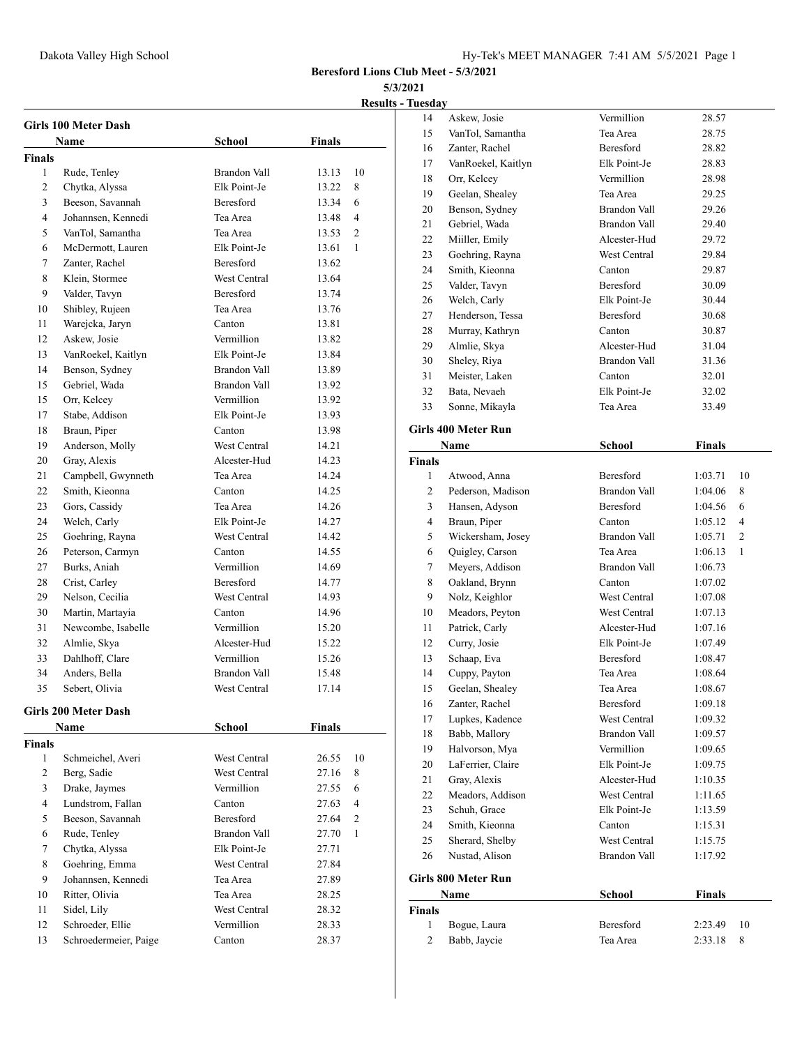**Results - Tuesday**

|                | Girls 100 Meter Dash                |                     |               |                |
|----------------|-------------------------------------|---------------------|---------------|----------------|
|                | <b>Name</b>                         | School              | <b>Finals</b> |                |
| <b>Finals</b>  |                                     |                     |               |                |
| 1              | Rude, Tenley                        | Brandon Vall        | 13.13         | 10             |
| 2              | Chytka, Alyssa                      | Elk Point-Je        | 13.22         | 8              |
| 3              | Beeson, Savannah                    | Beresford           | 13.34         | 6              |
| $\overline{4}$ | Johannsen, Kennedi                  | Tea Area            | 13.48         | $\overline{4}$ |
| 5              | VanTol, Samantha                    | Tea Area            | 13.53         | $\overline{c}$ |
| 6              | McDermott, Lauren                   | Elk Point-Je        | 13.61         | 1              |
| 7              | Zanter, Rachel                      | <b>Beresford</b>    | 13.62         |                |
| 8              | Klein, Stormee                      | West Central        | 13.64         |                |
| 9              | Valder, Tavyn                       | Beresford           | 13.74         |                |
| 10             | Shibley, Rujeen                     | Tea Area            | 13.76         |                |
| 11             | Warejcka, Jaryn                     | Canton              | 13.81         |                |
| 12             | Askew, Josie                        | Vermillion          | 13.82         |                |
| 13             | VanRoekel, Kaitlyn                  | Elk Point-Je        | 13.84         |                |
| 14             | Benson, Sydney                      | Brandon Vall        | 13.89         |                |
| 15             | Gebriel, Wada                       | Brandon Vall        | 13.92         |                |
| 15             | Orr, Kelcey                         | Vermillion          | 13.92         |                |
| 17             | Stabe, Addison                      | Elk Point-Je        | 13.93         |                |
| 18             | Braun, Piper                        | Canton              | 13.98         |                |
| 19             | Anderson, Molly                     | <b>West Central</b> | 14.21         |                |
| 20             | Gray, Alexis                        | Alcester-Hud        | 14.23         |                |
| 21             | Campbell, Gwynneth                  | Tea Area            | 14.24         |                |
| 22             | Smith, Kieonna                      | Canton              | 14.25         |                |
| 23             | Gors, Cassidy                       | Tea Area            | 14.26         |                |
| 24             | Welch, Carly                        | Elk Point-Je        | 14.27         |                |
| 25             | Goehring, Rayna                     | West Central        | 14.42         |                |
| 26             | Peterson, Carmyn                    | Canton              | 14.55         |                |
| 27             | Burks, Aniah                        | Vermillion          | 14.69         |                |
| 28             | Crist, Carley                       | <b>Beresford</b>    | 14.77         |                |
| 29             | Nelson, Cecilia                     | West Central        | 14.93         |                |
| 30             | Martin, Martayia                    | Canton              | 14.96         |                |
| 31             | Newcombe, Isabelle                  | Vermillion          | 15.20         |                |
| 32             | Almlie, Skya                        | Alcester-Hud        | 15.22         |                |
| 33             | Dahlhoff, Clare                     | Vermillion          | 15.26         |                |
| 34             | Anders, Bella                       | Brandon Vall        | 15.48         |                |
| 35             | Sebert, Olivia                      | West Central        | 17.14         |                |
|                |                                     |                     |               |                |
|                | <b>Girls 200 Meter Dash</b><br>Name | School              | Finals        |                |
| Finals         |                                     |                     |               |                |
| 1              | Schmeichel, Averi                   | West Central        | 26.55         | 10             |
| $\overline{c}$ | Berg, Sadie                         | West Central        | 27.16         | 8              |
| 3              | Drake, Jaymes                       | Vermillion          | 27.55         | 6              |
| $\overline{4}$ | Lundstrom, Fallan                   | Canton              | 27.63         | 4              |
| 5              | Beeson, Savannah                    | Beresford           | 27.64         | $\mathbf{2}$   |
| 6              | Rude, Tenley                        | Brandon Vall        | 27.70         | $\mathbf{1}$   |
| 7              | Chytka, Alyssa                      | Elk Point-Je        | 27.71         |                |
| 8              | Goehring, Emma                      | West Central        | 27.84         |                |
| 9              | Johannsen, Kennedi                  | Tea Area            | 27.89         |                |
| 10             | Ritter, Olivia                      | Tea Area            | 28.25         |                |
| 11             | Sidel, Lily                         | West Central        | 28.32         |                |
| 12             |                                     | Vermillion          |               |                |
|                | Schroeder, Ellie                    |                     | 28.33         |                |
| 13             | Schroedermeier, Paige               | Canton              | 28.37         |                |

| 14            | Askew, Josie               | Vermillion       | 28.57         |    |
|---------------|----------------------------|------------------|---------------|----|
| 15            | VanTol, Samantha           | Tea Area         | 28.75         |    |
| 16            | Zanter, Rachel             | Beresford        | 28.82         |    |
| 17            | VanRoekel, Kaitlyn         | Elk Point-Je     | 28.83         |    |
| 18            | Orr, Kelcey                | Vermillion       | 28.98         |    |
| 19            | Geelan, Shealey            | Tea Area         | 29.25         |    |
| 20            | Benson, Sydney             | Brandon Vall     | 29.26         |    |
| 21            | Gebriel, Wada              | Brandon Vall     | 29.40         |    |
| 22            | Miiller, Emily             | Alcester-Hud     | 29.72         |    |
| 23            | Goehring, Rayna            | West Central     | 29.84         |    |
| 24            | Smith, Kieonna             | Canton           | 29.87         |    |
| 25            | Valder, Tavyn              | <b>Beresford</b> | 30.09         |    |
| 26            | Welch, Carly               | Elk Point-Je     | 30.44         |    |
| 27            | Henderson, Tessa           | Beresford        | 30.68         |    |
| 28            | Murray, Kathryn            | Canton           | 30.87         |    |
| 29            | Almlie, Skya               | Alcester-Hud     | 31.04         |    |
| 30            | Sheley, Riya               | Brandon Vall     | 31.36         |    |
| 31            | Meister, Laken             | Canton           | 32.01         |    |
| 32            | Bata, Nevaeh               | Elk Point-Je     | 32.02         |    |
| 33            | Sonne, Mikayla             | Tea Area         | 33.49         |    |
|               |                            |                  |               |    |
|               | <b>Girls 400 Meter Run</b> |                  |               |    |
|               | Name                       | School           | Finals        |    |
| <b>Finals</b> |                            |                  |               |    |
| 1             | Atwood, Anna               | <b>Beresford</b> | 1:03.71       | 10 |
| 2             | Pederson, Madison          | Brandon Vall     | 1:04.06       | 8  |
| 3             | Hansen, Adyson             | Beresford        | 1:04.56       | 6  |
| 4             | Braun, Piper               | Canton           | 1:05.12       | 4  |
| 5             | Wickersham, Josey          | Brandon Vall     | 1:05.71       | 2  |
| 6             | Quigley, Carson            | Tea Area         | 1:06.13       | 1  |
| 7             | Meyers, Addison            | Brandon Vall     | 1:06.73       |    |
| 8             | Oakland, Brynn             | Canton           | 1:07.02       |    |
| 9             | Nolz, Keighlor             | West Central     | 1:07.08       |    |
| 10            | Meadors, Peyton            | West Central     | 1:07.13       |    |
| 11            | Patrick, Carly             | Alcester-Hud     | 1:07.16       |    |
| 12            | Curry, Josie               | Elk Point-Je     | 1:07.49       |    |
| 13            | Schaap, Eva                | Beresford        | 1:08.47       |    |
| 14            | Cuppy, Payton              | Tea Area         | 1:08.64       |    |
| 15            | Geelan, Shealey            | Tea Area         | 1:08.67       |    |
| 16            | Zanter, Rachel             | <b>Beresford</b> | 1:09.18       |    |
| 17            | Lupkes, Kadence            | West Central     | 1:09.32       |    |
| 18            | Babb, Mallory              | Brandon Vall     | 1:09.57       |    |
| 19            | Halvorson, Mya             | Vermillion       | 1:09.65       |    |
| 20            | LaFerrier, Claire          | Elk Point-Je     | 1:09.75       |    |
| 21            | Gray, Alexis               | Alcester-Hud     | 1:10.35       |    |
| 22            | Meadors, Addison           | West Central     | 1:11.65       |    |
| 23            | Schuh, Grace               | Elk Point-Je     | 1:13.59       |    |
| 24            | Smith, Kieonna             | Canton           | 1:15.31       |    |
| 25            | Sherard, Shelby            | West Central     | 1:15.75       |    |
| 26            | Nustad, Alison             | Brandon Vall     | 1:17.92       |    |
|               |                            |                  |               |    |
|               | <b>Girls 800 Meter Run</b> |                  |               |    |
|               | Name                       | <b>School</b>    | <b>Finals</b> |    |
| <b>Finals</b> |                            |                  |               |    |
| 1             | Bogue, Laura               | Beresford        | 2:23.49       | 10 |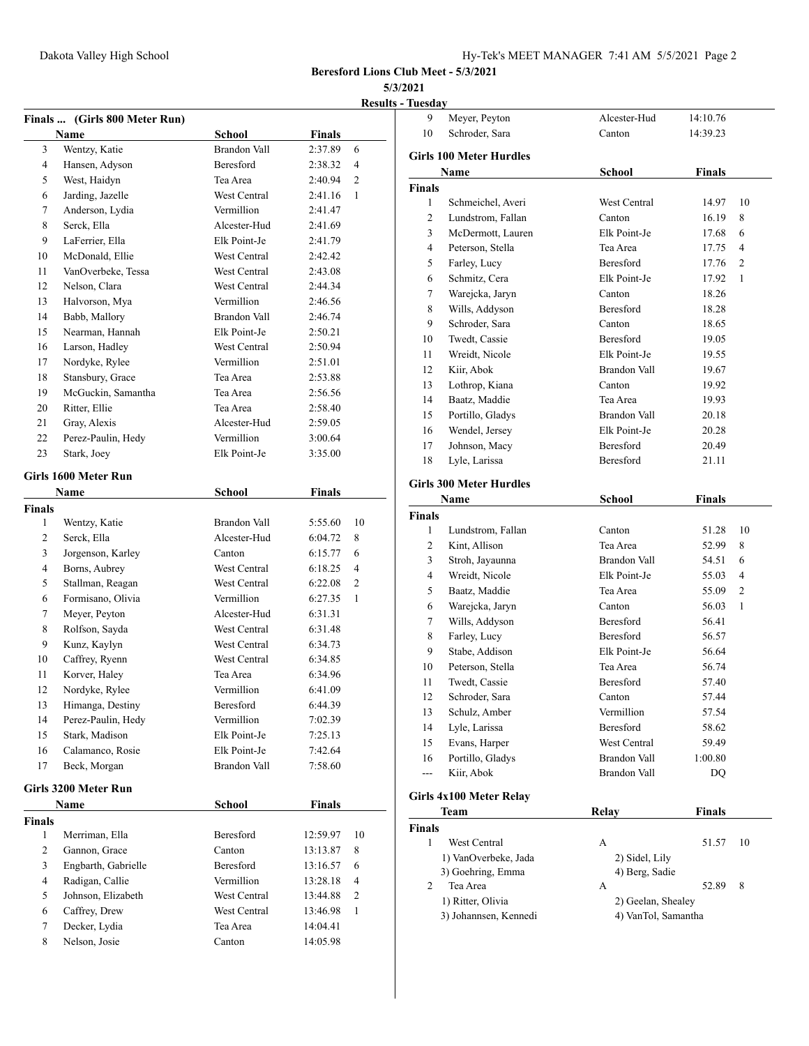**5/3/2021**

| <b>Results - Tuesdav</b> |  |
|--------------------------|--|
|                          |  |

|               | Finals  (Girls 800 Meter Run) |                     |               |    |
|---------------|-------------------------------|---------------------|---------------|----|
|               | <b>Name</b>                   | <b>School</b>       | Finals        |    |
| 3             | Wentzy, Katie                 | <b>Brandon Vall</b> | 2:37.89       | 6  |
| 4             | Hansen, Adyson                | <b>Beresford</b>    | 2:38.32       | 4  |
| 5             | West, Haidyn                  | Tea Area            | 2:40.94       | 2  |
| 6             | Jarding, Jazelle              | West Central        | 2:41.16       | 1  |
| 7             | Anderson, Lydia               | Vermillion          | 2:41.47       |    |
| 8             | Serck, Ella                   | Alcester-Hud        | 2:41.69       |    |
| 9             | LaFerrier, Ella               | Elk Point-Je        | 2:41.79       |    |
| 10            | McDonald, Ellie               | West Central        | 2:42.42       |    |
| 11            | VanOverbeke, Tessa            | West Central        | 2:43.08       |    |
| 12            | Nelson, Clara                 | West Central        | 2:44.34       |    |
| 13            | Halvorson, Mya                | Vermillion          | 2:46.56       |    |
| 14            | Babb, Mallory                 | Brandon Vall        | 2:46.74       |    |
| 15            | Nearman, Hannah               | Elk Point-Je        | 2:50.21       |    |
| 16            | Larson, Hadley                | West Central        | 2:50.94       |    |
| 17            | Nordyke, Rylee                | Vermillion          | 2:51.01       |    |
| 18            | Stansbury, Grace              | Tea Area            | 2:53.88       |    |
| 19            | McGuckin, Samantha            | Tea Area            | 2:56.56       |    |
| 20            | Ritter, Ellie                 | Tea Area            | 2:58.40       |    |
| 21            | Gray, Alexis                  | Alcester-Hud        | 2:59.05       |    |
| 22            | Perez-Paulin, Hedy            | Vermillion          | 3:00.64       |    |
| 23            | Stark, Joey                   | Elk Point-Je        | 3:35.00       |    |
|               | Girls 1600 Meter Run          |                     |               |    |
|               | <b>Name</b>                   | School              | Finals        |    |
| <b>Finals</b> |                               |                     |               |    |
| $\mathbf{1}$  | Wentzy, Katie                 | Brandon Vall        | 5:55.60       | 10 |
| 2             | Serck, Ella                   | Alcester-Hud        | 6:04.72       | 8  |
| 3             | Jorgenson, Karley             | Canton              | 6:15.77       | 6  |
| 4             | Borns, Aubrey                 | West Central        | 6:18.25       | 4  |
| 5             | Stallman, Reagan              | West Central        | 6:22.08       | 2  |
| 6             | Formisano, Olivia             | Vermillion          | 6:27.35       | 1  |
| 7             | Meyer, Peyton                 | Alcester-Hud        | 6:31.31       |    |
| 8             | Rolfson, Sayda                | West Central        | 6:31.48       |    |
| 9             | Kunz, Kaylyn                  | West Central        | 6:34.73       |    |
| 10            | Caffrey, Ryenn                | West Central        | 6:34.85       |    |
| 11            | Korver, Haley                 | Tea Area            | 6:34.96       |    |
| 12            | Nordyke, Rylee                | Vermillion          | 6:41.09       |    |
| 13            | Himanga, Destiny              | Beresford           | 6:44.39       |    |
| 14            | Perez-Paulin, Hedy            | Vermillion          | 7:02.39       |    |
| 15            | Stark, Madison                | Elk Point-Je        | 7:25.13       |    |
| 16            | Calamanco, Rosie              | Elk Point-Je        | 7:42.64       |    |
| 17            | Beck, Morgan                  | <b>Brandon Vall</b> | 7:58.60       |    |
|               |                               |                     |               |    |
|               | Girls 3200 Meter Run          |                     |               |    |
|               | Name                          | School              | <b>Finals</b> |    |
| <b>Finals</b> |                               |                     |               |    |
| 1             | Merriman, Ella                | Beresford           | 12:59.97      | 10 |
| 2             | Gannon, Grace                 | Canton              | 13:13.87      | 8  |
| 3             | Engbarth, Gabrielle           | Beresford           | 13:16.57      | 6  |
| 4             | Radigan, Callie               | Vermillion          | 13:28.18      | 4  |
| 5             | Johnson, Elizabeth            | West Central        | 13:44.88      | 2  |
| 6             | Caffrey, Drew                 | West Central        | 13:46.98      | 1  |
| 7             | Decker, Lydia                 | Tea Area            | 14:04.41      |    |
| 8             | Nelson, Josie                 | Canton              | 14:05.98      |    |
|               |                               |                     |               |    |

| 9              | Meyer, Peyton                  | Alcester-Hud        | 14:10.76      |    |
|----------------|--------------------------------|---------------------|---------------|----|
| 10             | Schroder, Sara                 | Canton              | 14:39.23      |    |
|                |                                |                     |               |    |
|                | <b>Girls 100 Meter Hurdles</b> |                     |               |    |
|                | Name                           | School              | Finals        |    |
| Finals         |                                |                     |               |    |
| 1              | Schmeichel, Averi              | West Central        | 14.97         | 10 |
| 2              | Lundstrom, Fallan              | Canton              | 16.19         | 8  |
| 3              | McDermott, Lauren              | Elk Point-Je        | 17.68         | 6  |
| $\overline{4}$ | Peterson, Stella               | Tea Area            | 17.75         | 4  |
| 5              | Farley, Lucy                   | Beresford           | 17.76         | 2  |
| 6              | Schmitz, Cera                  | Elk Point-Je        | 17.92         | 1  |
| 7              | Warejcka, Jaryn                | Canton              | 18.26         |    |
| 8              | Wills, Addyson                 | Beresford           | 18.28         |    |
| 9              | Schroder, Sara                 | Canton              | 18.65         |    |
| 10             | Twedt, Cassie                  | Beresford           | 19.05         |    |
| 11             | Wreidt, Nicole                 | Elk Point-Je        | 19.55         |    |
| 12             | Kiir, Abok                     | Brandon Vall        | 19.67         |    |
| 13             | Lothrop, Kiana                 | Canton              | 19.92         |    |
| 14             | Baatz, Maddie                  | Tea Area            | 19.93         |    |
| 15             | Portillo, Gladys               | Brandon Vall        | 20.18         |    |
| 16             | Wendel, Jersey                 | Elk Point-Je        | 20.28         |    |
| 17             | Johnson, Macy                  | Beresford           | 20.49         |    |
| 18             | Lyle, Larissa                  | Beresford           | 21.11         |    |
|                |                                |                     |               |    |
|                | <b>Girls 300 Meter Hurdles</b> |                     |               |    |
|                | Name                           | School              | Finals        |    |
| <b>Finals</b>  |                                |                     |               |    |
| 1              | Lundstrom, Fallan              | Canton              | 51.28         | 10 |
| 2              | Kint, Allison                  | Tea Area            | 52.99         | 8  |
| 3              | Stroh, Jayaunna                | Brandon Vall        | 54.51         | 6  |
| $\overline{4}$ | Wreidt, Nicole                 | Elk Point-Je        | 55.03         | 4  |
| 5              | Baatz, Maddie                  | Tea Area            | 55.09         | 2  |
| 6              | Warejcka, Jaryn                | Canton              | 56.03         | 1  |
| 7              | Wills, Addyson                 | <b>Beresford</b>    | 56.41         |    |
| 8              | Farley, Lucy                   | <b>Beresford</b>    | 56.57         |    |
| 9              | Stabe, Addison                 | Elk Point-Je        | 56.64         |    |
| 10             | Peterson, Stella               | Tea Area            | 56.74         |    |
| 11             | Twedt, Cassie                  | Beresford           | 57.40         |    |
| 12             | Schroder, Sara                 | Canton              | 57.44         |    |
| 13             | Schulz, Amber                  | Vermillion          | 57.54         |    |
| 14             | Lyle, Larissa                  | Beresford           | 58.62         |    |
| 15             | Evans, Harper                  | West Central        | 59.49         |    |
| 16             | Portillo, Gladys               | <b>Brandon Vall</b> | 1:00.80       |    |
| ---            | Kiir, Abok                     | Brandon Vall        | DQ            |    |
|                |                                |                     |               |    |
|                | Girls 4x100 Meter Relay        |                     |               |    |
|                | Team                           | Relay               | <b>Finals</b> |    |
| <b>Finals</b>  |                                |                     |               |    |
| 1              | West Central                   | А                   | 51.57         | 10 |
|                | 1) VanOverbeke, Jada           | 2) Sidel, Lily      |               |    |
|                | 3) Goehring, Emma              | 4) Berg, Sadie      |               |    |
| 2              | Tea Area                       | А                   | 52.89         | 8  |
|                | 1) Ritter, Olivia              | 2) Geelan, Shealey  |               |    |
|                | 3) Johannsen, Kennedi          | 4) VanTol, Samantha |               |    |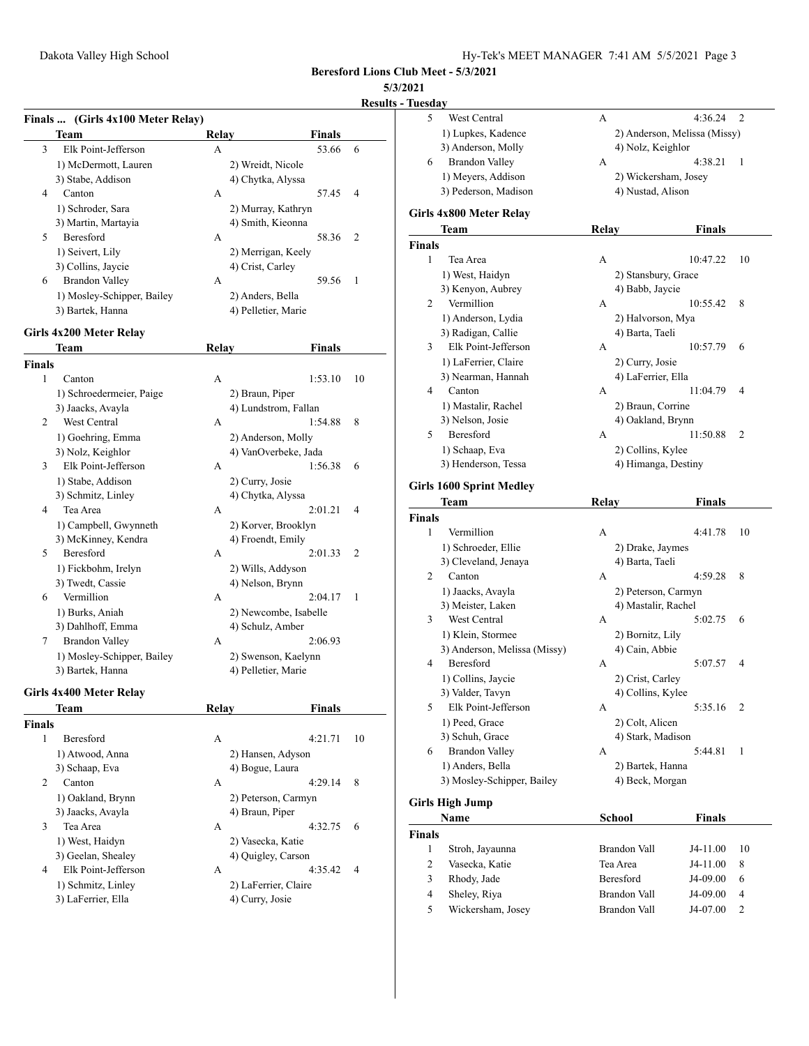**Results - Tue** 

|        |                                   |              |                       | <u>inesults -</u> |
|--------|-----------------------------------|--------------|-----------------------|-------------------|
|        | Finals  (Girls 4x100 Meter Relay) |              |                       |                   |
|        | Team                              | Relay        | Finals                |                   |
| 3      | Elk Point-Jefferson               | A            | 53.66                 | 6                 |
|        | 1) McDermott, Lauren              |              | 2) Wreidt, Nicole     |                   |
|        | 3) Stabe, Addison                 |              | 4) Chytka, Alyssa     |                   |
| 4      | Canton                            | A            | 57.45                 | 4                 |
|        | 1) Schroder, Sara                 |              | 2) Murray, Kathryn    |                   |
|        | 3) Martin, Martayia               |              | 4) Smith, Kieonna     |                   |
| 5      | Beresford                         | A            | 58.36                 | 2                 |
|        | 1) Seivert, Lily                  |              | 2) Merrigan, Keely    |                   |
|        | 3) Collins, Jaycie                |              | 4) Crist, Carley      |                   |
| 6      | <b>Brandon Valley</b>             | А            | 59.56                 | 1                 |
|        | 1) Mosley-Schipper, Bailey        |              | 2) Anders, Bella      |                   |
|        | 3) Bartek, Hanna                  |              | 4) Pelletier, Marie   |                   |
|        |                                   |              |                       |                   |
|        | Girls 4x200 Meter Relay           |              |                       |                   |
|        | Team                              | Relay        | <b>Finals</b>         |                   |
| Finals |                                   |              |                       |                   |
| 1      | Canton                            | А            | 1:53.10               | 10                |
|        | 1) Schroedermeier, Paige          |              | 2) Braun, Piper       |                   |
|        | 3) Jaacks, Avayla                 |              | 4) Lundstrom, Fallan  |                   |
| 2      | West Central                      | А            | 1:54.88               | 8                 |
|        | 1) Goehring, Emma                 |              | 2) Anderson, Molly    |                   |
|        | 3) Nolz, Keighlor                 |              | 4) VanOverbeke, Jada  |                   |
| 3      | Elk Point-Jefferson               | А            | 1:56.38               | 6                 |
|        | 1) Stabe, Addison                 |              | 2) Curry, Josie       |                   |
|        | 3) Schmitz, Linley                |              | 4) Chytka, Alyssa     |                   |
| 4      | Tea Area                          | А            | 2:01.21               | 4                 |
|        | 1) Campbell, Gwynneth             |              | 2) Korver, Brooklyn   |                   |
|        | 3) McKinney, Kendra               |              | 4) Froendt, Emily     |                   |
| 5      | Beresford                         | А            | 2:01.33               | 2                 |
|        | 1) Fickbohm, Irelyn               |              | 2) Wills, Addyson     |                   |
|        | 3) Twedt, Cassie                  |              | 4) Nelson, Brynn      |                   |
| 6      | Vermillion                        | А            | 2:04.17               | 1                 |
|        | 1) Burks, Aniah                   |              | 2) Newcombe, Isabelle |                   |
|        | 3) Dahlhoff, Emma                 |              | 4) Schulz, Amber      |                   |
| 7      | <b>Brandon Valley</b>             | А            | 2:06.93               |                   |
|        | 1) Mosley-Schipper, Bailey        |              | 2) Swenson, Kaelynn   |                   |
|        | 3) Bartek, Hanna                  |              | 4) Pelletier, Marie   |                   |
|        |                                   |              |                       |                   |
|        | Girls 4x400 Meter Relay           |              |                       |                   |
|        | Team                              | <b>Relay</b> | <b>Finals</b>         |                   |
| Finals |                                   |              |                       |                   |
| 1      | Beresford                         | А            | 4:21.71               | 10                |
|        | 1) Atwood, Anna                   |              | 2) Hansen, Adyson     |                   |
|        | 3) Schaap, Eva                    |              | 4) Bogue, Laura       |                   |
| 2      | Canton                            | A            | 4:29.14               | 8                 |
|        | 1) Oakland, Brynn                 |              | 2) Peterson, Carmyn   |                   |
|        | 3) Jaacks, Avayla                 |              | 4) Braun, Piper       |                   |
| 3      | Tea Area                          | А            | 4:32.75               | 6                 |
|        | 1) West, Haidyn                   |              | 2) Vasecka, Katie     |                   |
|        | 3) Geelan, Shealey                |              | 4) Quigley, Carson    |                   |
|        |                                   |              |                       |                   |
| 4      | Elk Point-Jefferson               | А            | 4:35.42               | 4                 |
|        | 1) Schmitz, Linley                |              | 2) LaFerrier, Claire  |                   |

| Tuesday       |                                 |              |                              |               |    |
|---------------|---------------------------------|--------------|------------------------------|---------------|----|
| 5             | West Central                    | А            |                              | 4:36.24       | 2  |
|               | 1) Lupkes, Kadence              |              | 2) Anderson, Melissa (Missy) |               |    |
|               | 3) Anderson, Molly              |              | 4) Nolz, Keighlor            |               |    |
| 6             | Brandon Valley                  | А            |                              | 4:38.21       | 1  |
|               |                                 |              |                              |               |    |
|               | 1) Meyers, Addison              |              | 2) Wickersham, Josey         |               |    |
|               | 3) Pederson, Madison            |              | 4) Nustad, Alison            |               |    |
|               | Girls 4x800 Meter Relay         |              |                              |               |    |
|               |                                 |              |                              |               |    |
|               | Team                            | Relay        |                              | Finals        |    |
| <b>Finals</b> |                                 |              |                              |               |    |
| 1             | Tea Area                        | А            |                              | 10:47.22      | 10 |
|               | 1) West, Haidyn                 |              | 2) Stansbury, Grace          |               |    |
|               | 3) Kenyon, Aubrey               |              | 4) Babb, Jaycie              |               |    |
| 2             | Vermillion                      | А            |                              | 10:55.42      | 8  |
|               | 1) Anderson, Lydia              |              | 2) Halvorson, Mya            |               |    |
|               | 3) Radigan, Callie              |              | 4) Barta, Taeli              |               |    |
| 3             | Elk Point-Jefferson             | А            |                              | 10:57.79      | 6  |
|               | 1) LaFerrier, Claire            |              | 2) Curry, Josie              |               |    |
|               | 3) Nearman, Hannah              |              | 4) LaFerrier, Ella           |               |    |
| 4             | Canton                          | А            |                              | 11:04.79      | 4  |
|               |                                 |              |                              |               |    |
|               | 1) Mastalir, Rachel             |              | 2) Braun, Corrine            |               |    |
|               | 3) Nelson, Josie                |              | 4) Oakland, Brynn            |               |    |
| 5             | <b>Beresford</b>                | А            |                              | 11:50.88      | 2  |
|               | 1) Schaap, Eva                  |              | 2) Collins, Kylee            |               |    |
|               | 3) Henderson, Tessa             |              | 4) Himanga, Destiny          |               |    |
|               |                                 |              |                              |               |    |
|               | <b>Girls 1600 Sprint Medley</b> |              |                              |               |    |
|               | Team                            | <b>Relay</b> |                              | Finals        |    |
| <b>Finals</b> |                                 |              |                              |               |    |
| 1             | Vermillion                      | А            |                              | 4:41.78       | 10 |
|               | 1) Schroeder, Ellie             |              | 2) Drake, Jaymes             |               |    |
|               | 3) Cleveland, Jenaya            |              | 4) Barta, Taeli              |               |    |
| 2             | Canton                          | А            |                              | 4:59.28       | 8  |
|               | 1) Jaacks, Avayla               |              | 2) Peterson, Carmyn          |               |    |
|               | 3) Meister, Laken               |              | 4) Mastalir, Rachel          |               |    |
| 3             | West Central                    | А            |                              | 5:02.75       | 6  |
|               | 1) Klein, Stormee               |              | 2) Bornitz, Lily             |               |    |
|               | 3) Anderson, Melissa (Missy)    |              | 4) Cain, Abbie               |               |    |
|               | Beresford                       |              |                              |               |    |
| 4             |                                 | А            |                              | 5:07.57       | 4  |
|               | 1) Collins, Jaycie              |              | 2) Crist, Carley             |               |    |
|               | 3) Valder, Tavyn                |              | 4) Collins, Kylee            |               |    |
| 5             | Elk Point-Jefferson             | А            |                              | 5:35.16       | 2  |
|               | 1) Peed, Grace                  |              | 2) Colt, Alicen              |               |    |
|               | 3) Schuh, Grace                 |              | 4) Stark, Madison            |               |    |
| 6             | <b>Brandon Valley</b>           | А            |                              | 5:44.81       | 1  |
|               | 1) Anders, Bella                |              | 2) Bartek, Hanna             |               |    |
|               | 3) Mosley-Schipper, Bailey      |              | 4) Beck, Morgan              |               |    |
|               |                                 |              |                              |               |    |
|               | Girls High Jump                 |              |                              |               |    |
|               | Name                            |              | School                       | <b>Finals</b> |    |
| Finals        |                                 |              |                              |               |    |
| 1             | Stroh, Jayaunna                 |              | <b>Brandon Vall</b>          | J4-11.00      | 10 |
| 2             | Vasecka, Katie                  |              | Tea Area                     | J4-11.00      | 8  |
|               |                                 |              | Beresford                    |               |    |
| 3             | Rhody, Jade                     |              |                              | J4-09.00      | 6  |
| 4             | Sheley, Riya                    |              | Brandon Vall                 | J4-09.00      | 4  |
| 5             | Wickersham, Josey               |              | Brandon Vall                 | J4-07.00      | 2  |
|               |                                 |              |                              |               |    |
|               |                                 |              |                              |               |    |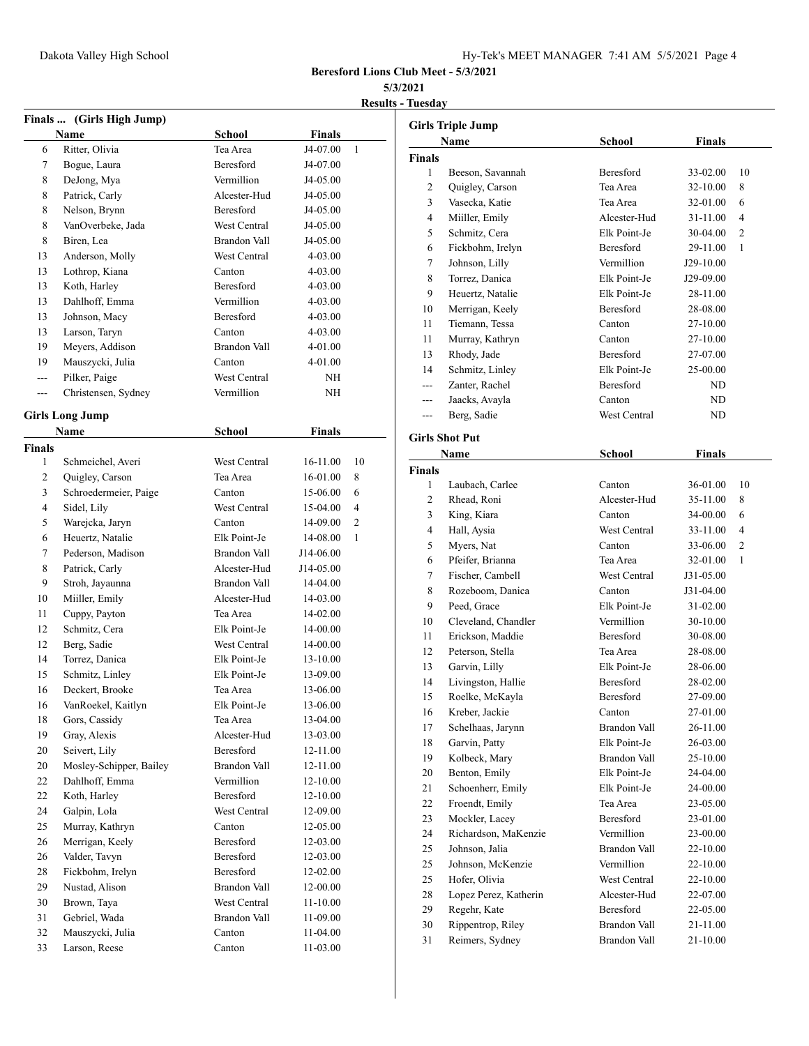| Hy-Tek's MEET MANAGER 7:41 AM 5/5/2021 Page 4 |  |  |  |
|-----------------------------------------------|--|--|--|
|-----------------------------------------------|--|--|--|

## **5/3/2021**

**Results - Tuesday**

|                | Finals  (Girls High Jump) |                     |               |    |
|----------------|---------------------------|---------------------|---------------|----|
|                | <b>Name</b>               | <b>School</b>       | Finals        |    |
| 6              | Ritter, Olivia            | Tea Area            | J4-07.00      | 1  |
| 7              | Bogue, Laura              | <b>Beresford</b>    | J4-07.00      |    |
| 8              | DeJong, Mya               | Vermillion          | J4-05.00      |    |
| 8              | Patrick, Carly            | Alcester-Hud        | J4-05.00      |    |
| 8              | Nelson, Brynn             | <b>Beresford</b>    | J4-05.00      |    |
| 8              | VanOverbeke, Jada         | West Central        | J4-05.00      |    |
| 8              | Biren, Lea                | Brandon Vall        | J4-05.00      |    |
| 13             | Anderson, Molly           | West Central        | 4-03.00       |    |
| 13             | Lothrop, Kiana            | Canton              | 4-03.00       |    |
| 13             | Koth, Harley              | <b>Beresford</b>    | 4-03.00       |    |
| 13             | Dahlhoff, Emma            | <b>Vermillion</b>   | 4-03.00       |    |
| 13             | Johnson, Macy             | Beresford           | 4-03.00       |    |
| 13             | Larson, Taryn             | Canton              | 4-03.00       |    |
| 19             | Meyers, Addison           | Brandon Vall        | 4-01.00       |    |
| 19             | Mauszycki, Julia          | Canton              | 4-01.00       |    |
| $\overline{a}$ | Pilker, Paige             | West Central        | NH            |    |
| $- - -$        | Christensen, Sydney       | Vermillion          | NH            |    |
|                |                           |                     |               |    |
|                | <b>Girls Long Jump</b>    |                     |               |    |
|                | <b>Name</b>               | <b>School</b>       | <b>Finals</b> |    |
| <b>Finals</b>  |                           |                     |               |    |
| 1              | Schmeichel, Averi         | <b>West Central</b> | 16-11.00      | 10 |
| 2              | Quigley, Carson           | Tea Area            | 16-01.00      | 8  |
| 3              | Schroedermeier, Paige     | Canton              | 15-06.00      | 6  |
| 4              | Sidel, Lily               | <b>West Central</b> | 15-04.00      | 4  |
| 5              | Warejcka, Jaryn           | Canton              | 14-09.00      | 2  |
| 6              | Heuertz, Natalie          | Elk Point-Je        | 14-08.00      | 1  |
| 7              | Pederson, Madison         | Brandon Vall        | J14-06.00     |    |
| 8              | Patrick, Carly            | Alcester-Hud        | J14-05.00     |    |
| 9              | Stroh, Jayaunna           | <b>Brandon Vall</b> | 14-04.00      |    |
| 10             | Miiller, Emily            | Alcester-Hud        | 14-03.00      |    |
| 11             | Cuppy, Payton             | Tea Area            | 14-02.00      |    |
| 12             | Schmitz, Cera             | Elk Point-Je        | 14-00.00      |    |
| 12             | Berg, Sadie               | West Central        | 14-00.00      |    |
| 14             | Torrez, Danica            | Elk Point-Je        | 13-10.00      |    |
| 15             | Schmitz, Linley           | Elk Point-Je        | 13-09.00      |    |
| 16             | Deckert, Brooke           | Tea Area            | 13-06.00      |    |
| 16             | VanRoekel, Kaitlyn        | Elk Point-Je        | 13-06.00      |    |
| 18             | Gors, Cassidy             | Tea Area            | 13-04.00      |    |
| 19             | Gray, Alexis              | Alcester-Hud        | 13-03.00      |    |
| 20             | Seivert, Lily             | Beresford           | 12-11.00      |    |
| 20             | Mosley-Schipper, Bailey   | <b>Brandon Vall</b> | 12-11.00      |    |
| 22             | Dahlhoff, Emma            | Vermillion          | 12-10.00      |    |
| 22             | Koth, Harley              | Beresford           | 12-10.00      |    |
| 24             | Galpin, Lola              | West Central        | 12-09.00      |    |
| 25             | Murray, Kathryn           | Canton              | 12-05.00      |    |
| 26             | Merrigan, Keely           | Beresford           | 12-03.00      |    |
| 26             | Valder, Tavyn             | Beresford           | 12-03.00      |    |
| 28             | Fickbohm, Irelyn          | Beresford           | 12-02.00      |    |
| 29             | Nustad, Alison            | Brandon Vall        | 12-00.00      |    |
| 30             | Brown, Taya               | West Central        | 11-10.00      |    |
| 31             | Gebriel, Wada             | Brandon Vall        | 11-09.00      |    |
| 32             | Mauszycki, Julia          | Canton              | 11-04.00      |    |
| 33             | Larson, Reese             | Canton              | 11-03.00      |    |

|               | <b>Girls Triple Jump</b> |                  |               |    |
|---------------|--------------------------|------------------|---------------|----|
|               | Name                     | <b>School</b>    | <b>Finals</b> |    |
| <b>Finals</b> |                          |                  |               |    |
| 1             | Beeson, Savannah         | Beresford        | 33-02.00      | 10 |
| 2             | Quigley, Carson          | Tea Area         | 32-10.00      | 8  |
| 3             | Vasecka, Katie           | Tea Area         | 32-01.00      | 6  |
| 4             | Miiller, Emily           | Alcester-Hud     | 31-11.00      | 4  |
| 5             | Schmitz, Cera            | Elk Point-Je     | 30-04.00      | 2  |
| 6             | Fickbohm, Irelyn         | Beresford        | 29-11.00      | 1  |
| 7             | Johnson, Lilly           | Vermillion       | J29-10.00     |    |
| 8             | Torrez, Danica           | Elk Point-Je     | J29-09.00     |    |
| 9             | Heuertz, Natalie         | Elk Point-Je     | 28-11.00      |    |
| 10            | Merrigan, Keely          | Beresford        | 28-08.00      |    |
| 11            | Tiemann, Tessa           | Canton           | 27-10.00      |    |
| 11            | Murray, Kathryn          | Canton           | 27-10.00      |    |
| 13            | Rhody, Jade              | Beresford        | 27-07.00      |    |
| 14            | Schmitz, Linley          | Elk Point-Je     | 25-00.00      |    |
| ---           | Zanter, Rachel           | Beresford        | ND            |    |
| ---           | Jaacks, Avayla           | Canton           | ND            |    |
| $---$         | Berg, Sadie              | West Central     | ND            |    |
|               |                          |                  |               |    |
|               | <b>Girls Shot Put</b>    |                  |               |    |
|               | Name                     | <b>School</b>    | <b>Finals</b> |    |
| <b>Finals</b> |                          |                  |               |    |
| 1             | Laubach, Carlee          | Canton           | 36-01.00      | 10 |
| 2             | Rhead, Roni              | Alcester-Hud     | 35-11.00      | 8  |
| 3             | King, Kiara              | Canton           | 34-00.00      | 6  |
| 4             | Hall, Aysia              | West Central     | 33-11.00      | 4  |
| 5             | Myers, Nat               | Canton           | 33-06.00      | 2  |
| 6             | Pfeifer, Brianna         | Tea Area         | 32-01.00      | 1  |
| 7             | Fischer, Cambell         | West Central     | J31-05.00     |    |
| 8             | Rozeboom, Danica         | Canton           | J31-04.00     |    |
| 9             | Peed, Grace              | Elk Point-Je     | 31-02.00      |    |
| 10            | Cleveland, Chandler      | Vermillion       | 30-10.00      |    |
| 11            | Erickson, Maddie         | <b>Beresford</b> | 30-08.00      |    |
| 12            | Peterson, Stella         | Tea Area         | 28-08.00      |    |
| 13            | Garvin, Lilly            | Elk Point-Je     | 28-06.00      |    |
| 14            | Livingston, Hallie       | Beresford        | 28-02.00      |    |
| 15            | Roelke, McKayla          | Beresford        | 27-09.00      |    |
| 16            | Kreber, Jackie           | Canton           | 27-01.00      |    |
| 17            | Schelhaas, Jarynn        | Brandon Vall     | 26-11.00      |    |
| 18            | Garvin, Patty            | Elk Point-Je     | 26-03.00      |    |
| 19            | Kolbeck, Mary            | Brandon Vall     | 25-10.00      |    |
| 20            | Benton, Emily            | Elk Point-Je     | 24-04.00      |    |
| 21            | Schoenherr, Emily        | Elk Point-Je     | 24-00.00      |    |
| 22            | Froendt, Emily           | Tea Area         | 23-05.00      |    |
| 23            | Mockler, Lacey           | Beresford        | 23-01.00      |    |
| 24            | Richardson, MaKenzie     | Vermillion       | 23-00.00      |    |
| 25            | Johnson, Jalia           | Brandon Vall     | 22-10.00      |    |
| 25            | Johnson, McKenzie        | Vermillion       | 22-10.00      |    |
| 25            | Hofer, Olivia            | West Central     | 22-10.00      |    |
| 28            | Lopez Perez, Katherin    | Alcester-Hud     | 22-07.00      |    |
| 29            | Regehr, Kate             | Beresford        | 22-05.00      |    |
| 30            | Rippentrop, Riley        | Brandon Vall     | 21-11.00      |    |
| 31            | Reimers, Sydney          | Brandon Vall     | 21-10.00      |    |
|               |                          |                  |               |    |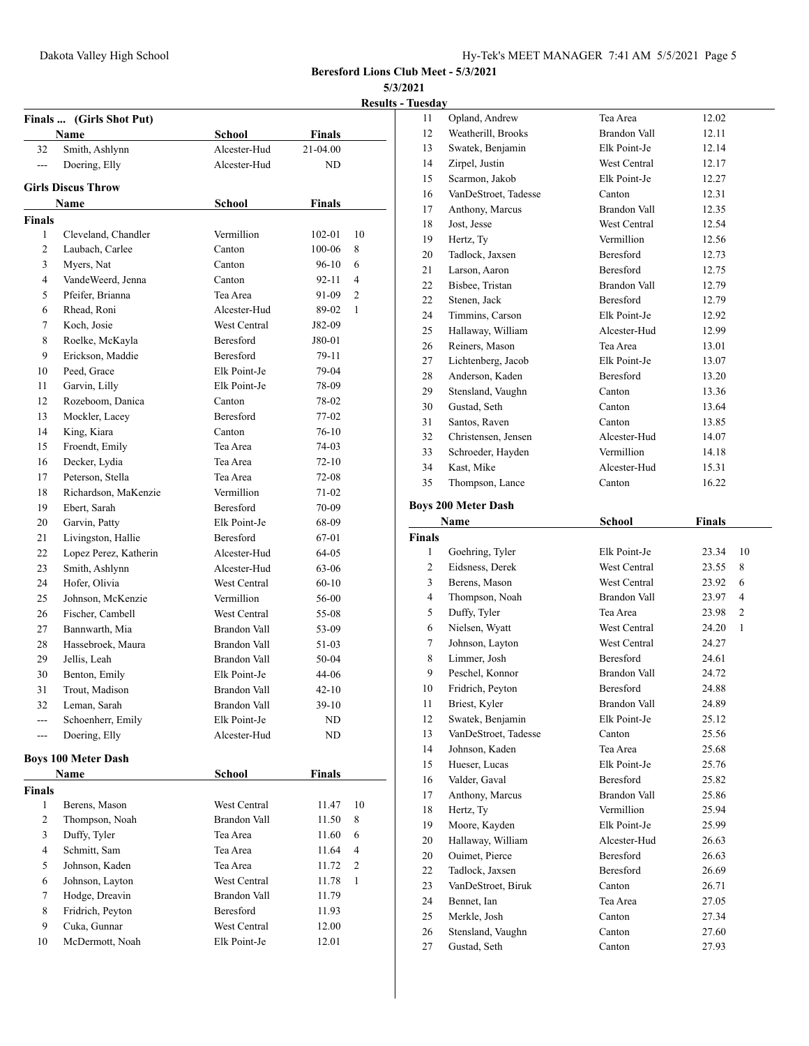**Results - Tuesday**

|                | Finals  (Girls Shot Put)   |                     |               | <b>Results</b> |
|----------------|----------------------------|---------------------|---------------|----------------|
|                | Name                       | School              | Finals        |                |
| 32             | Smith, Ashlynn             | Alcester-Hud        | 21-04.00      |                |
| ---            | Doering, Elly              | Alcester-Hud        | ND            |                |
|                |                            |                     |               |                |
|                | <b>Girls Discus Throw</b>  |                     |               |                |
|                | Name                       | School              | <b>Finals</b> |                |
| Finals         |                            |                     |               |                |
| 1              | Cleveland, Chandler        | Vermillion          | $102 - 01$    | 10             |
| 2              | Laubach, Carlee            | Canton              | 100-06        | 8              |
| 3              | Myers, Nat                 | Canton              | $96-10$       | 6              |
| $\overline{4}$ | VandeWeerd, Jenna          | Canton              | 92-11         | $\overline{4}$ |
| 5              | Pfeifer, Brianna           | Tea Area            | 91-09         | 2              |
| 6              | Rhead, Roni                | Alcester-Hud        | 89-02         | $\mathbf{1}$   |
| 7              | Koch, Josie                | West Central        | J82-09        |                |
| 8              | Roelke, McKayla            | Beresford           | J80-01        |                |
| 9              | Erickson, Maddie           | <b>Beresford</b>    | 79-11         |                |
| 10             | Peed, Grace                | Elk Point-Je        | 79-04         |                |
| 11             | Garvin, Lilly              | Elk Point-Je        | 78-09         |                |
| 12             | Rozeboom, Danica           | Canton              | 78-02         |                |
| 13             | Mockler, Lacey             | Beresford           | $77-02$       |                |
| 14             | King, Kiara                | Canton              | $76-10$       |                |
| 15             | Froendt, Emily             | Tea Area            | 74-03         |                |
| 16             | Decker, Lydia              | Tea Area            | $72 - 10$     |                |
| 17             | Peterson, Stella           | Tea Area            | 72-08         |                |
| 18             | Richardson, MaKenzie       | Vermillion          | 71-02         |                |
| 19             | Ebert, Sarah               | Beresford           | 70-09         |                |
| 20             | Garvin, Patty              | Elk Point-Je        | 68-09         |                |
| 21             | Livingston, Hallie         | Beresford           | 67-01         |                |
| 22             | Lopez Perez, Katherin      | Alcester-Hud        | 64-05         |                |
| 23             | Smith, Ashlynn             | Alcester-Hud        | 63-06         |                |
| 24             | Hofer, Olivia              | <b>West Central</b> | $60 - 10$     |                |
| 25             | Johnson, McKenzie          | Vermillion          | 56-00         |                |
| 26             | Fischer, Cambell           | West Central        | 55-08         |                |
| 27             | Bannwarth, Mia             | Brandon Vall        | 53-09         |                |
| 28             | Hassebroek, Maura          | Brandon Vall        | 51-03         |                |
| 29             | Jellis, Leah               | Brandon Vall        | $50-04$       |                |
| 30             | Benton, Emily              | Elk Point-Je        | 44-06         |                |
| 31             | Trout, Madison             | Brandon Vall        | $42 - 10$     |                |
| 32             | Leman, Sarah               | Brandon Vall        | $39-10$       |                |
| ---            | Schoenherr, Emily          | Elk Point-Je        | ND            |                |
| $---$          | Doering, Elly              | Alcester-Hud        | ND            |                |
|                | <b>Boys 100 Meter Dash</b> |                     |               |                |
|                | Name                       | School              | <b>Finals</b> |                |
| Finals         |                            |                     |               |                |
| 1              | Berens, Mason              | West Central        | 11.47         | 10             |
| 2              | Thompson, Noah             | <b>Brandon Vall</b> | 11.50         | 8              |
| 3              | Duffy, Tyler               | Tea Area            | 11.60         | 6              |
| 4              | Schmitt, Sam               | Tea Area            | 11.64         | 4              |
| 5              | Johnson, Kaden             | Tea Area            | 11.72         | 2              |
| 6              | Johnson, Layton            | West Central        | 11.78         | 1              |
| 7              | Hodge, Dreavin             | Brandon Vall        | 11.79         |                |
| 8              | Fridrich, Peyton           | Beresford           | 11.93         |                |
| 9              | Cuka, Gunnar               | West Central        | 12.00         |                |
| 10             | McDermott, Noah            | Elk Point-Je        | 12.01         |                |
|                |                            |                     |               |                |

| 11             | Opland, Andrew                    | Tea Area            | 12.02                 |
|----------------|-----------------------------------|---------------------|-----------------------|
| 12             | Weatherill, Brooks                | Brandon Vall        | 12.11                 |
| 13             | Swatek, Benjamin                  | Elk Point-Je        | 12.14                 |
| 14             | Zirpel, Justin                    | West Central        | 12.17                 |
| 15             | Scarmon, Jakob                    | Elk Point-Je        | 12.27                 |
| 16             | VanDeStroet, Tadesse              | Canton              | 12.31                 |
| 17             | Anthony, Marcus                   | Brandon Vall        | 12.35                 |
| 18             | Jost, Jesse                       | West Central        | 12.54                 |
| 19             | Hertz, Ty                         | Vermillion          | 12.56                 |
| 20             | Tadlock, Jaxsen                   | Beresford           | 12.73                 |
| 21             | Larson, Aaron                     | Beresford           | 12.75                 |
| 22             | Bisbee, Tristan                   | Brandon Vall        | 12.79                 |
| 22             | Stenen, Jack                      | Beresford           | 12.79                 |
| 24             | Timmins, Carson                   | Elk Point-Je        | 12.92                 |
| 25             | Hallaway, William                 | Alcester-Hud        | 12.99                 |
| 26             | Reiners, Mason                    | Tea Area            | 13.01                 |
| 27             | Lichtenberg, Jacob                | Elk Point-Je        | 13.07                 |
| 28             | Anderson, Kaden                   | Beresford           | 13.20                 |
| 29             | Stensland, Vaughn                 | Canton              | 13.36                 |
| 30             | Gustad, Seth                      | Canton              | 13.64                 |
| 31             | Santos, Raven                     | Canton              | 13.85                 |
| 32             | Christensen, Jensen               | Alcester-Hud        | 14.07                 |
| 33             | Schroeder, Hayden                 | Vermillion          | 14.18                 |
| 34             | Kast, Mike                        | Alcester-Hud        | 15.31                 |
| 35             | Thompson, Lance                   | Canton              | 16.22                 |
|                |                                   |                     |                       |
|                | <b>Boys 200 Meter Dash</b>        |                     |                       |
|                | <b>Name</b>                       | School              | Finals                |
|                |                                   |                     |                       |
| Finals         |                                   |                     |                       |
| 1              | Goehring, Tyler                   | Elk Point-Je        | 23.34<br>10           |
| 2              | Eidsness, Derek                   | West Central        | 23.55<br>8            |
| 3              | Berens, Mason                     | <b>West Central</b> | 6<br>23.92            |
| $\overline{4}$ | Thompson, Noah                    | Brandon Vall        | 4<br>23.97            |
| 5              | Duffy, Tyler                      | Tea Area            | 2<br>23.98            |
| 6              | Nielsen, Wyatt                    | West Central        | $\mathbf{1}$<br>24.20 |
| 7              | Johnson, Layton                   | West Central        | 24.27                 |
| 8              | Limmer, Josh                      | <b>Beresford</b>    | 24.61                 |
| 9              | Peschel, Konnor                   | <b>Brandon Vall</b> | 24.72                 |
| 10             | Fridrich, Peyton                  | Beresford           | 24.88                 |
| 11             | Briest, Kyler                     | Brandon Vall        | 24.89                 |
| 12             | Swatek, Benjamin                  | Elk Point-Je        | 25.12                 |
| 13             | VanDeStroet, Tadesse              | Canton              | 25.56                 |
| 14             | Johnson, Kaden                    | Tea Area            | 25.68                 |
| 15             | Hueser, Lucas                     | Elk Point-Je        | 25.76                 |
| 16             | Valder, Gaval                     | Beresford           | 25.82                 |
| 17             | Anthony, Marcus                   | Brandon Vall        | 25.86                 |
| 18             | Hertz, Ty                         | Vermillion          | 25.94                 |
| 19             | Moore, Kayden                     | Elk Point-Je        | 25.99                 |
| 20             | Hallaway, William                 | Alcester-Hud        | 26.63                 |
| 20             | Ouimet, Pierce                    | Beresford           | 26.63                 |
| 22             | Tadlock, Jaxsen                   | Beresford           | 26.69                 |
| 23             | VanDeStroet, Biruk                | Canton              | 26.71                 |
| 24             | Bennet, Ian                       | Tea Area            | 27.05                 |
| 25             | Merkle, Josh                      | Canton              | 27.34                 |
| 26<br>27       | Stensland, Vaughn<br>Gustad, Seth | Canton<br>Canton    | 27.60<br>27.93        |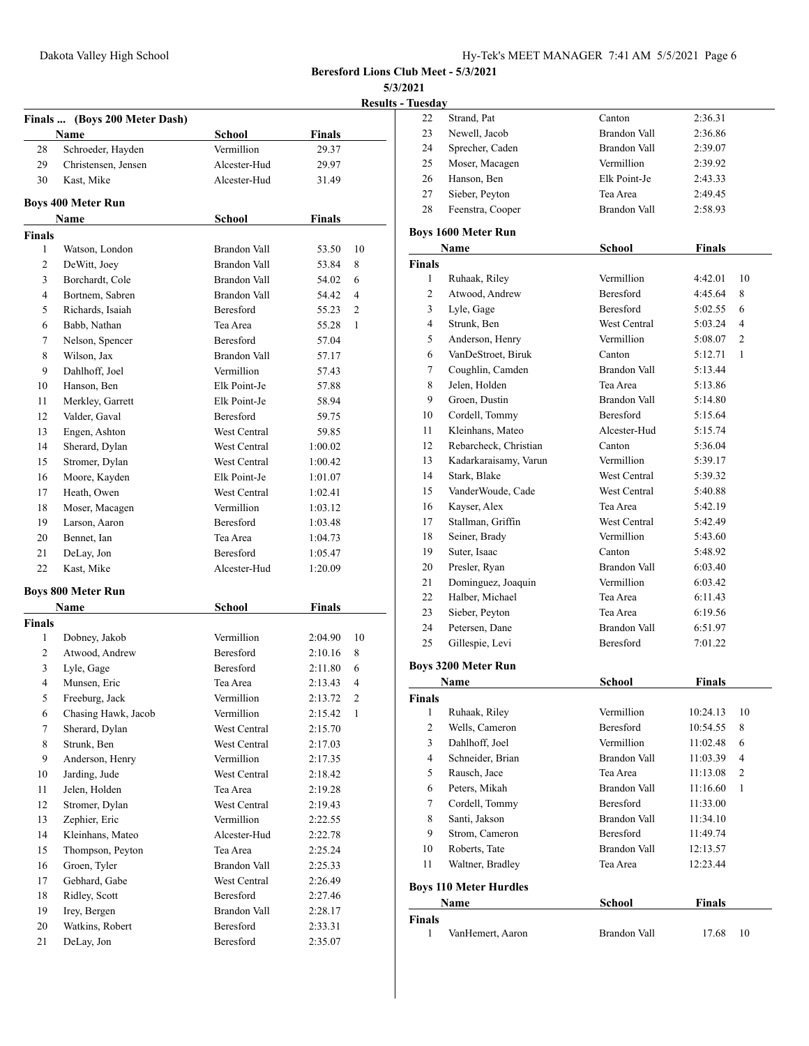|  | Results - Tuesdav |  |
|--|-------------------|--|
|  |                   |  |

|                |                                |                                  |                | <b>Results</b> |
|----------------|--------------------------------|----------------------------------|----------------|----------------|
|                | Finals  (Boys 200 Meter Dash)  |                                  |                |                |
|                | Name                           | <b>School</b>                    | <b>Finals</b>  |                |
| 28             | Schroeder, Hayden              | Vermillion<br>Alcester-Hud       | 29.37          |                |
| 29             | Christensen, Jensen            | Alcester-Hud                     | 29.97<br>31.49 |                |
| 30             | Kast, Mike                     |                                  |                |                |
|                | <b>Boys 400 Meter Run</b>      |                                  |                |                |
| <b>Finals</b>  | Name                           | School                           | <b>Finals</b>  |                |
| 1              | Watson, London                 | Brandon Vall                     | 53.50          | 10             |
| 2              | DeWitt, Joey                   | Brandon Vall                     | 53.84          | 8              |
| 3              | Borchardt, Cole                | Brandon Vall                     | 54.02          | 6              |
| 4              | Bortnem, Sabren                | Brandon Vall                     | 54.42          | 4              |
| 5              | Richards, Isaiah               | Beresford                        | 55.23          | 2              |
| 6              | Babb, Nathan                   | Tea Area                         | 55.28          | 1              |
| 7              |                                | Beresford                        |                |                |
| 8              | Nelson, Spencer<br>Wilson, Jax | Brandon Vall                     | 57.04<br>57.17 |                |
| 9              | Dahlhoff, Joel                 | Vermillion                       |                |                |
|                |                                | Elk Point-Je                     | 57.43          |                |
| 10             | Hanson, Ben                    | Elk Point-Je                     | 57.88          |                |
| 11             | Merkley, Garrett               |                                  | 58.94          |                |
| 12             | Valder, Gaval                  | Beresford<br><b>West Central</b> | 59.75          |                |
| 13             | Engen, Ashton                  |                                  | 59.85          |                |
| 14             | Sherard, Dylan                 | West Central                     | 1:00.02        |                |
| 15             | Stromer, Dylan                 | West Central                     | 1:00.42        |                |
| 16             | Moore, Kayden                  | Elk Point-Je                     | 1:01.07        |                |
| 17             | Heath, Owen                    | West Central                     | 1:02.41        |                |
| 18             | Moser, Macagen                 | Vermillion                       | 1:03.12        |                |
| 19             | Larson, Aaron                  | Beresford                        | 1:03.48        |                |
| 20             | Bennet, Ian                    | Tea Area                         | 1:04.73        |                |
| 21             | DeLay, Jon                     | Beresford                        | 1:05.47        |                |
| 22             | Kast, Mike                     | Alcester-Hud                     | 1:20.09        |                |
|                | <b>Boys 800 Meter Run</b>      |                                  |                |                |
|                | Name                           | School                           | <b>Finals</b>  |                |
| <b>Finals</b>  |                                |                                  |                |                |
| 1              | Dobney, Jakob                  | Vermillion                       | 2:04.90        | 10             |
| 2              | Atwood, Andrew                 | Beresford                        | 2:10.16        | 8              |
| 3              | Lyle, Gage                     | Beresford                        | 2:11.80        | 6              |
| $\overline{4}$ | Munsen, Eric                   | Tea Area                         | 2:13.43        | 4              |
| 5              | Freeburg, Jack                 | Vermillion                       | 2:13.72        | 2              |
| 6              | Chasing Hawk, Jacob            | Vermillion                       | 2:15.42        | $\mathbf{1}$   |
| 7              | Sherard, Dylan                 | West Central                     | 2:15.70        |                |
| 8              | Strunk, Ben                    | West Central                     | 2:17.03        |                |
| 9              | Anderson, Henry                | Vermillion                       | 2:17.35        |                |
| 10             | Jarding, Jude                  | West Central                     | 2:18.42        |                |
| 11             | Jelen, Holden                  | Tea Area                         | 2:19.28        |                |
| 12             | Stromer, Dylan                 | West Central                     | 2:19.43        |                |
| 13             | Zephier, Eric                  | Vermillion                       | 2:22.55        |                |
| 14             | Kleinhans, Mateo               | Alcester-Hud                     | 2:22.78        |                |
| 15             | Thompson, Peyton               | Tea Area                         | 2:25.24        |                |
| 16             | Groen, Tyler                   | Brandon Vall                     | 2:25.33        |                |
| 17             | Gebhard, Gabe                  | West Central                     | 2:26.49        |                |
| 18             | Ridley, Scott                  | Beresford                        | 2:27.46        |                |
| 19             | Irey, Bergen                   | Brandon Vall                     | 2:28.17        |                |
| 20             | Watkins, Robert                | Beresford                        | 2:33.31        |                |
| 21             | DeLay, Jon                     | Beresford                        | 2:35.07        |                |

| <u>l'uesday</u> |                               |                     |               |                |
|-----------------|-------------------------------|---------------------|---------------|----------------|
| 22              | Strand, Pat                   | Canton              | 2:36.31       |                |
| 23              | Newell, Jacob                 | Brandon Vall        | 2:36.86       |                |
| 24              | Sprecher, Caden               | Brandon Vall        | 2:39.07       |                |
| 25              | Moser, Macagen                | Vermillion          | 2:39.92       |                |
| 26              | Hanson, Ben                   | Elk Point-Je        | 2:43.33       |                |
| 27              | Sieber, Peyton                | Tea Area            | 2:49.45       |                |
| 28              | Feenstra, Cooper              | Brandon Vall        | 2:58.93       |                |
|                 | <b>Boys 1600 Meter Run</b>    |                     |               |                |
|                 | <b>Name</b>                   | <b>School</b>       | Finals        |                |
| <b>Finals</b>   |                               |                     |               |                |
| 1               | Ruhaak, Riley                 | Vermillion          | 4:42.01       | 10             |
| 2               | Atwood, Andrew                | Beresford           | 4:45.64       | 8              |
| 3               | Lyle, Gage                    | <b>Beresford</b>    | 5:02.55       | 6              |
| 4               | Strunk, Ben                   | West Central        | 5:03.24       | $\overline{4}$ |
| 5               | Anderson, Henry               | Vermillion          | 5:08.07       | $\overline{2}$ |
| 6               | VanDeStroet, Biruk            | Canton              | 5:12.71       | $\mathbf{1}$   |
| 7               | Coughlin, Camden              | Brandon Vall        | 5:13.44       |                |
| 8               | Jelen, Holden                 | Tea Area            | 5:13.86       |                |
| 9               | Groen, Dustin                 | Brandon Vall        | 5:14.80       |                |
| 10              | Cordell, Tommy                | <b>Beresford</b>    | 5:15.64       |                |
| 11              | Kleinhans, Mateo              | Alcester-Hud        | 5:15.74       |                |
| 12              | Rebarcheck, Christian         | Canton              | 5:36.04       |                |
| 13              | Kadarkaraisamy, Varun         | Vermillion          | 5:39.17       |                |
| 14              | Stark, Blake                  | <b>West Central</b> | 5:39.32       |                |
| 15              | VanderWoude, Cade             | West Central        | 5:40.88       |                |
| 16              | Kayser, Alex                  | Tea Area            | 5:42.19       |                |
| 17              | Stallman, Griffin             | West Central        | 5:42.49       |                |
| 18              | Seiner, Brady                 | Vermillion          | 5:43.60       |                |
| 19              | Suter, Isaac                  | Canton              | 5:48.92       |                |
| 20              | Presler, Ryan                 | Brandon Vall        | 6:03.40       |                |
| 21              | Dominguez, Joaquin            | Vermillion          | 6:03.42       |                |
| 22              | Halber, Michael               | Tea Area            | 6:11.43       |                |
| 23              | Sieber, Peyton                | Tea Area            | 6:19.56       |                |
| 24              | Petersen, Dane                | <b>Brandon Vall</b> | 6:51.97       |                |
| 25              | Gillespie, Levi               | Beresford           | 7:01.22       |                |
|                 | <b>Boys 3200 Meter Run</b>    |                     |               |                |
|                 | Name                          | School              | Finals        |                |
| Finals          |                               |                     |               |                |
| 1               | Ruhaak, Riley                 | Vermillion          | 10:24.13      | 10             |
| $\overline{c}$  | Wells, Cameron                | Beresford           | 10:54.55      | 8              |
| 3               | Dahlhoff, Joel                | Vermillion          | 11:02.48      | 6              |
| 4               | Schneider, Brian              | <b>Brandon Vall</b> | 11:03.39      | 4              |
| 5               | Rausch, Jace                  | Tea Area            | 11:13.08      | 2              |
| 6               | Peters, Mikah                 | Brandon Vall        | 11:16.60      | 1              |
| 7               | Cordell, Tommy                | Beresford           | 11:33.00      |                |
| 8               | Santi, Jakson                 | Brandon Vall        | 11:34.10      |                |
| 9               | Strom, Cameron                | Beresford           | 11:49.74      |                |
| 10              | Roberts, Tate                 | <b>Brandon Vall</b> | 12:13.57      |                |
| 11              | Waltner, Bradley              | Tea Area            | 12:23.44      |                |
|                 | <b>Boys 110 Meter Hurdles</b> |                     |               |                |
|                 | Name                          | School              | <b>Finals</b> |                |
| Finals          |                               |                     |               |                |
| 1               | VanHemert, Aaron              | Brandon Vall        | 17.68         | 10             |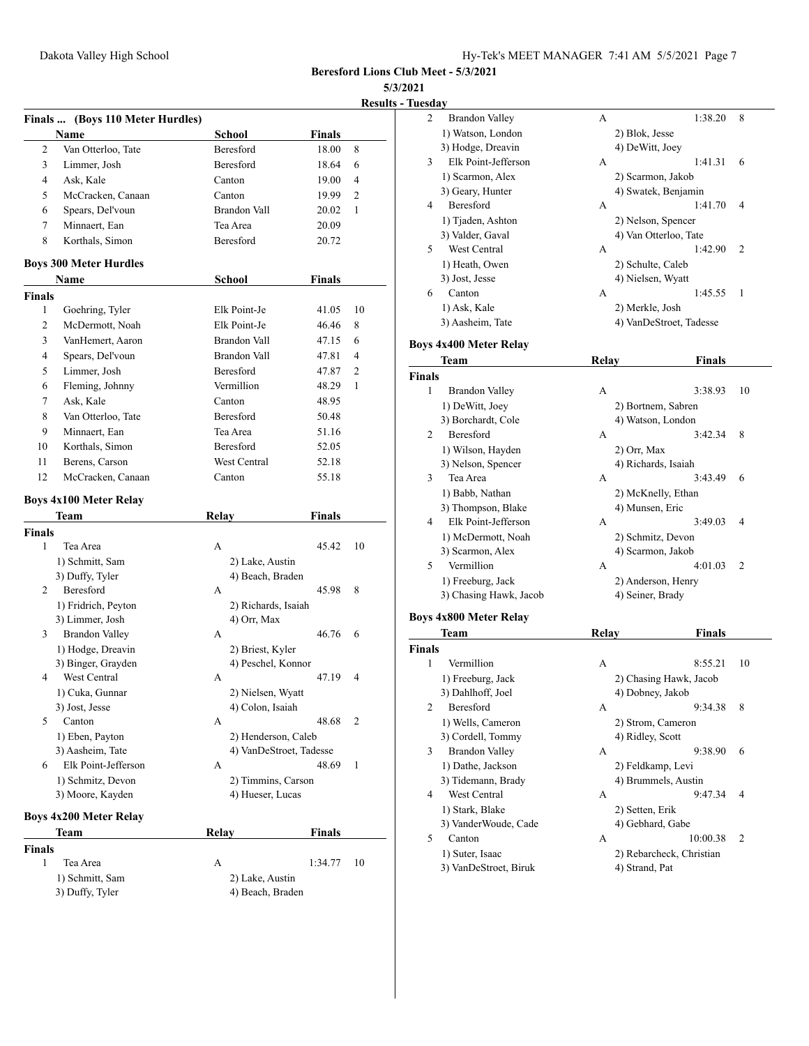**Results - Tuesday**

|               |                                                 |                     |                         | <b>Results</b> |
|---------------|-------------------------------------------------|---------------------|-------------------------|----------------|
|               | Finals  (Boys 110 Meter Hurdles)<br><b>Name</b> | <b>School</b>       | Finals                  |                |
| 2             | Van Otterloo, Tate                              | <b>Beresford</b>    | 18.00                   | 8              |
| 3             | Limmer, Josh                                    | Beresford           | 18.64                   | 6              |
| 4             | Ask, Kale                                       | Canton              | 19.00                   | 4              |
| 5             | McCracken, Canaan                               | Canton              | 19.99                   | 2              |
| 6             | Spears, Del'voun                                | <b>Brandon Vall</b> | 20.02                   | 1              |
| 7             | Minnaert, Ean                                   | Tea Area            | 20.09                   |                |
| 8             | Korthals, Simon                                 | Beresford           | 20.72                   |                |
|               | <b>Boys 300 Meter Hurdles</b>                   |                     |                         |                |
|               | Name                                            | <b>School</b>       | <b>Finals</b>           |                |
| <b>Finals</b> |                                                 |                     |                         |                |
| $\mathbf{1}$  | Goehring, Tyler                                 | Elk Point-Je        | 41.05                   | 10             |
| 2             | McDermott, Noah                                 | Elk Point-Je        | 46.46                   | 8              |
| 3             | VanHemert, Aaron                                | Brandon Vall        | 47.15                   | 6              |
| 4             | Spears, Del'voun                                | <b>Brandon Vall</b> | 47.81                   | 4              |
| 5             | Limmer, Josh                                    | Beresford           | 47.87                   | $\overline{c}$ |
| 6             | Fleming, Johnny                                 | Vermillion          | 48.29                   | 1              |
| 7             | Ask, Kale                                       | Canton              | 48.95                   |                |
|               |                                                 |                     |                         |                |
| 8             | Van Otterloo, Tate                              | Beresford           | 50.48                   |                |
| 9             | Minnaert, Ean                                   | Tea Area            | 51.16                   |                |
| 10            | Korthals, Simon                                 | Beresford           | 52.05                   |                |
| 11            | Berens, Carson                                  | West Central        | 52.18                   |                |
| 12            | McCracken, Canaan                               | Canton              | 55.18                   |                |
|               | <b>Boys 4x100 Meter Relay</b>                   |                     |                         |                |
|               | Team                                            | <b>Relay</b>        | <b>Finals</b>           |                |
| <b>Finals</b> |                                                 |                     |                         |                |
| 1             | Tea Area                                        | A                   | 45.42                   | 10             |
|               | 1) Schmitt, Sam                                 | 2) Lake, Austin     |                         |                |
|               | 3) Duffy, Tyler                                 | 4) Beach, Braden    |                         |                |
| 2             | Beresford                                       | А                   | 45.98                   | 8              |
|               | 1) Fridrich, Peyton                             | 2) Richards, Isaiah |                         |                |
|               | 3) Limmer, Josh                                 | 4) Orr, Max         |                         |                |
| 3             | <b>Brandon Valley</b>                           | A                   | 46.76                   | 6              |
|               | 1) Hodge, Dreavin                               | 2) Briest, Kyler    |                         |                |
|               | 3) Binger, Grayden                              | 4) Peschel, Konnor  |                         |                |
| 4             | West Central                                    | A                   | 47.19                   | 4              |
|               | 1) Cuka, Gunnar                                 | 2) Nielsen, Wyatt   |                         |                |
|               | 3) Jost, Jesse                                  | 4) Colon, Isaiah    |                         |                |
| 5             | Canton                                          | А                   | 48.68                   | 2              |
|               | 1) Eben, Payton                                 | 2) Henderson, Caleb |                         |                |
|               | 3) Aasheim, Tate                                |                     | 4) VanDeStroet, Tadesse |                |
| 6             | Elk Point-Jefferson                             | А                   | 48.69                   | 1              |
|               | 1) Schmitz, Devon                               | 2) Timmins, Carson  |                         |                |
|               | 3) Moore, Kayden                                | 4) Hueser, Lucas    |                         |                |
|               | <b>Boys 4x200 Meter Relay</b>                   |                     |                         |                |
|               | Team                                            | Relay               | Finals                  |                |
| Finals        |                                                 |                     |                         |                |
| 1             | Tea Area                                        | А                   | 1:34.77                 | 10             |
|               | 1) Schmitt, Sam                                 | 2) Lake, Austin     |                         |                |
|               | 3) Duffy, Tyler                                 | 4) Beach, Braden    |                         |                |

| <u>Tuesday</u> |                               |       |                          |    |
|----------------|-------------------------------|-------|--------------------------|----|
| 2              | <b>Brandon Valley</b>         | А     | 1:38.20                  | 8  |
|                | 1) Watson, London             |       | 2) Blok, Jesse           |    |
|                | 3) Hodge, Dreavin             |       | 4) DeWitt, Joey          |    |
| 3              | Elk Point-Jefferson           | А     | 1:41.31                  | 6  |
|                | 1) Scarmon, Alex              |       | 2) Scarmon, Jakob        |    |
|                | 3) Geary, Hunter              |       | 4) Swatek, Benjamin      |    |
| 4              | Beresford                     | А     | 1:41.70                  | 4  |
|                | 1) Tjaden, Ashton             |       | 2) Nelson, Spencer       |    |
|                | 3) Valder, Gaval              |       | 4) Van Otterloo, Tate    |    |
| 5              | West Central                  | А     | 1:42.90                  | 2  |
|                | 1) Heath, Owen                |       | 2) Schulte, Caleb        |    |
|                | 3) Jost, Jesse                |       | 4) Nielsen, Wyatt        |    |
| 6              | Canton                        | А     | 1:45.55                  | 1  |
|                | 1) Ask, Kale                  |       | 2) Merkle, Josh          |    |
|                | 3) Aasheim, Tate              |       | 4) VanDeStroet, Tadesse  |    |
|                |                               |       |                          |    |
|                | <b>Boys 4x400 Meter Relay</b> |       |                          |    |
|                | Team                          | Relay | <b>Finals</b>            |    |
| <b>Finals</b>  |                               |       |                          |    |
| 1              | <b>Brandon Valley</b>         | А     | 3:38.93                  | 10 |
|                | 1) DeWitt, Joey               |       | 2) Bortnem, Sabren       |    |
|                | 3) Borchardt, Cole            |       | 4) Watson, London        |    |
| 2              | Beresford                     | A     | 3:42.34                  | 8  |
|                | 1) Wilson, Hayden             |       | 2) Orr, Max              |    |
|                | 3) Nelson, Spencer            |       | 4) Richards, Isaiah      |    |
| 3              | Tea Area                      | А     | 3:43.49                  | 6  |
|                | 1) Babb, Nathan               |       | 2) McKnelly, Ethan       |    |
|                | 3) Thompson, Blake            |       | 4) Munsen, Eric          |    |
| 4              | Elk Point-Jefferson           | А     | 3:49.03                  | 4  |
|                | 1) McDermott, Noah            |       | 2) Schmitz, Devon        |    |
|                | 3) Scarmon, Alex              |       | 4) Scarmon, Jakob        |    |
| 5              | Vermillion                    | А     | 4:01.03                  | 2  |
|                | 1) Freeburg, Jack             |       | 2) Anderson, Henry       |    |
|                | 3) Chasing Hawk, Jacob        |       | 4) Seiner, Brady         |    |
|                | <b>Boys 4x800 Meter Relay</b> |       |                          |    |
|                | Team                          | Relay | Finals                   |    |
| Finals         |                               |       |                          |    |
| 1              | Vermillion                    | А     | 8:55.21                  | 10 |
|                | 1) Freeburg, Jack             |       | 2) Chasing Hawk, Jacob   |    |
|                | 3) Dahlhoff, Joel             |       | 4) Dobney, Jakob         |    |
| 2              | Beresford                     | А     | 9:34.38                  | 8  |
|                | 1) Wells, Cameron             |       | 2) Strom, Cameron        |    |
|                | 3) Cordell, Tommy             |       | 4) Ridley, Scott         |    |
| 3              | <b>Brandon Valley</b>         | А     | 9:38.90                  | 6  |
|                | 1) Dathe, Jackson             |       | 2) Feldkamp, Levi        |    |
|                | 3) Tidemann, Brady            |       | 4) Brummels, Austin      |    |
| 4              | West Central                  | А     | 9:47.34                  | 4  |
|                | 1) Stark, Blake               |       | 2) Setten, Erik          |    |
|                | 3) VanderWoude, Cade          |       | 4) Gebhard, Gabe         |    |
| 5              | Canton                        | А     | 10:00.38                 | 2  |
|                | 1) Suter, Isaac               |       | 2) Rebarcheck, Christian |    |
|                | 3) VanDeStroet, Biruk         |       | 4) Strand, Pat           |    |
|                |                               |       |                          |    |
|                |                               |       |                          |    |
|                |                               |       |                          |    |
|                |                               |       |                          |    |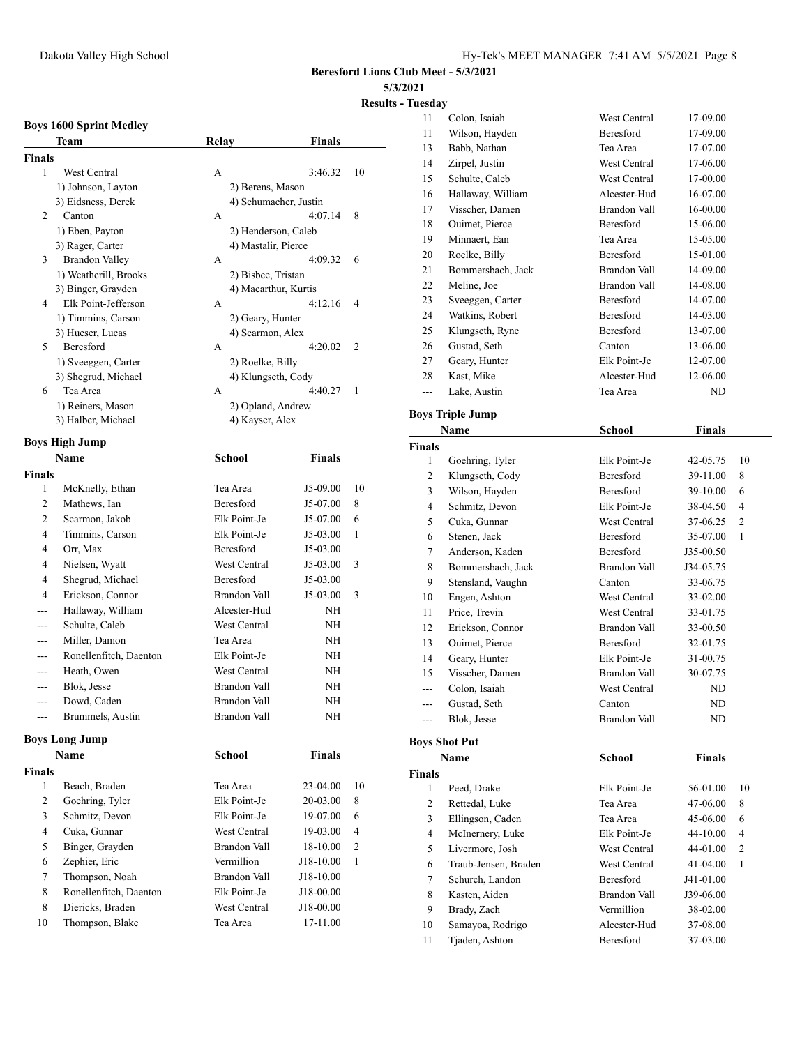## **5/3/2021**

# **Results - Tuesday**

|               | <b>Boys 1600 Sprint Medley</b> |                       |               |    |
|---------------|--------------------------------|-----------------------|---------------|----|
|               | Team                           | Relay                 | Finals        |    |
| <b>Finals</b> |                                |                       |               |    |
| 1             | West Central                   | А                     | 3:46.32       | 10 |
|               | 1) Johnson, Layton             | 2) Berens, Mason      |               |    |
|               | 3) Eidsness, Derek             | 4) Schumacher, Justin |               |    |
| 2             | Canton                         | A                     | 4:07.14       | 8  |
|               | 1) Eben, Payton                | 2) Henderson, Caleb   |               |    |
|               | 3) Rager, Carter               | 4) Mastalir, Pierce   |               |    |
| 3             | <b>Brandon Valley</b>          | А                     | 4:09.32       | 6  |
|               | 1) Weatherill, Brooks          | 2) Bisbee, Tristan    |               |    |
|               | 3) Binger, Grayden             | 4) Macarthur, Kurtis  |               |    |
| 4             | Elk Point-Jefferson            | A                     | 4:12.16       | 4  |
|               | 1) Timmins, Carson             | 2) Geary, Hunter      |               |    |
|               | 3) Hueser, Lucas               | 4) Scarmon, Alex      |               |    |
| 5             | Beresford                      | A                     | 4:20.02       | 2  |
|               | 1) Sveeggen, Carter            | 2) Roelke, Billy      |               |    |
|               | 3) Shegrud, Michael            | 4) Klungseth, Cody    |               |    |
| 6             | Tea Area                       | A                     | 4:40.27       | 1  |
|               | 1) Reiners, Mason              | 2) Opland, Andrew     |               |    |
|               | 3) Halber, Michael             | 4) Kayser, Alex       |               |    |
|               | <b>Boys High Jump</b>          |                       |               |    |
|               | Name                           | <b>School</b>         | Finals        |    |
| <b>Finals</b> |                                |                       |               |    |
| 1             | McKnelly, Ethan                | Tea Area              | J5-09.00      | 10 |
| 2             | Mathews, Ian                   | Beresford             | J5-07.00      | 8  |
| 2             | Scarmon, Jakob                 | Elk Point-Je          | J5-07.00      | 6  |
| 4             | Timmins, Carson                | Elk Point-Je          | J5-03.00      | 1  |
| 4             | Orr, Max                       | Beresford             | J5-03.00      |    |
| 4             | Nielsen, Wyatt                 | West Central          | J5-03.00      | 3  |
| 4             | Shegrud, Michael               | Beresford             | J5-03.00      |    |
| 4             | Erickson, Connor               | Brandon Vall          | J5-03.00      | 3  |
|               | Hallaway, William              | Alcester-Hud          | NΗ            |    |
| ---           | Schulte, Caleb                 | West Central          | NΗ            |    |
| ---           | Miller, Damon                  | Tea Area              | NH            |    |
| ---           | Ronellenfitch, Daenton         | Elk Point-Je          | NH            |    |
| ---           | Heath, Owen                    | West Central          | NH            |    |
| ---           | Blok, Jesse                    | <b>Brandon Vall</b>   | NH            |    |
|               | Dowd, Caden                    | Brandon Vall          | NH            |    |
| ---           | Brummels, Austin               | Brandon Vall          | NΗ            |    |
|               | <b>Boys Long Jump</b>          |                       |               |    |
|               | Name                           | <b>School</b>         | <b>Finals</b> |    |
| Finals        |                                |                       |               |    |
| 1             | Beach, Braden                  | Tea Area              | 23-04.00      | 10 |
| 2             | Goehring, Tyler                | Elk Point-Je          | 20-03.00      | 8  |
| 3             | Schmitz, Devon                 | Elk Point-Je          | 19-07.00      | 6  |
| 4             | Cuka, Gunnar                   | West Central          | 19-03.00      | 4  |
| 5             | Binger, Grayden                | Brandon Vall          | 18-10.00      | 2  |
| 6             | Zephier, Eric                  | Vermillion            | J18-10.00     | 1  |
| 7             | Thompson, Noah                 | Brandon Vall          | J18-10.00     |    |
| 8             | Ronellenfitch, Daenton         | Elk Point-Je          | J18-00.00     |    |
| 8             | Diericks, Braden               | West Central          | J18-00.00     |    |

Thompson, Blake Tea Area 17-11.00

| <u>ruesuay</u> |                         |                     |               |    |
|----------------|-------------------------|---------------------|---------------|----|
| 11             | Colon, Isaiah           | West Central        | 17-09.00      |    |
| 11             | Wilson, Hayden          | Beresford           | 17-09.00      |    |
| 13             | Babb, Nathan            | Tea Area            | 17-07.00      |    |
| 14             | Zirpel, Justin          | West Central        | 17-06.00      |    |
| 15             | Schulte, Caleb          | <b>West Central</b> | 17-00.00      |    |
| 16             | Hallaway, William       | Alcester-Hud        | 16-07.00      |    |
| 17             | Visscher, Damen         | Brandon Vall        | 16-00.00      |    |
| 18             | Ouimet, Pierce          | Beresford           | 15-06.00      |    |
| 19             | Minnaert, Ean           | Tea Area            | 15-05.00      |    |
| 20             | Roelke, Billy           | <b>Beresford</b>    | 15-01.00      |    |
| 21             | Bommersbach, Jack       | Brandon Vall        | 14-09.00      |    |
| 22             | Meline, Joe             | <b>Brandon Vall</b> | 14-08.00      |    |
| 23             | Sveeggen, Carter        | <b>Beresford</b>    | 14-07.00      |    |
| 24             | Watkins, Robert         | Beresford           | 14-03.00      |    |
| 25             | Klungseth, Ryne         | Beresford           | 13-07.00      |    |
| 26             | Gustad, Seth            | Canton              | 13-06.00      |    |
| 27             | Geary, Hunter           | Elk Point-Je        | 12-07.00      |    |
| 28             | Kast, Mike              | Alcester-Hud        | 12-06.00      |    |
| ---            | Lake, Austin            | Tea Area            | ND.           |    |
|                |                         |                     |               |    |
|                | <b>Boys Triple Jump</b> |                     |               |    |
|                | Name                    | School              | <b>Finals</b> |    |
| <b>Finals</b>  |                         |                     |               |    |
| 1              | Goehring, Tyler         | Elk Point-Je        | 42-05.75      | 10 |
| 2              | Klungseth, Cody         | Beresford           | 39-11.00      | 8  |
| 3              | Wilson, Hayden          | <b>Beresford</b>    | 39-10.00      | 6  |
| 4              | Schmitz, Devon          | Elk Point-Je        | 38-04.50      | 4  |
| 5              | Cuka, Gunnar            | West Central        | 37-06.25      | 2  |
| 6              | Stenen, Jack            | Beresford           | 35-07.00      | 1  |
| 7              | Anderson, Kaden         | <b>Beresford</b>    | J35-00.50     |    |
| 8              | Bommersbach, Jack       | Brandon Vall        | J34-05.75     |    |
| 9              | Stensland, Vaughn       | Canton              | 33-06.75      |    |
| 10             | Engen, Ashton           | West Central        | 33-02.00      |    |
| 11             | Price, Trevin           | West Central        | 33-01.75      |    |
| 12             | Erickson, Connor        | Brandon Vall        | 33-00.50      |    |
| 13             | Ouimet, Pierce          | Beresford           | 32-01.75      |    |
| 14             | Geary, Hunter           | Elk Point-Je        | 31-00.75      |    |
| 15             | Visscher, Damen         | Brandon Vall        | 30-07.75      |    |
|                | Colon, Isaiah           | West Central        | ND            |    |
|                | Gustad, Seth            | Canton              | ND            |    |
|                | Blok, Jesse             | Brandon Vall        | ND            |    |
|                |                         |                     |               |    |
|                | <b>Boys Shot Put</b>    |                     |               |    |
|                | <b>Name</b>             | School              | <b>Finals</b> |    |
| <b>Finals</b>  |                         |                     |               |    |
| 1              | Peed, Drake             | Elk Point-Je        | 56-01.00      | 10 |
| 2              | Rettedal, Luke          | Tea Area            | 47-06.00      | 8  |
| 3              | Ellingson, Caden        | Tea Area            | 45-06.00      | 6  |
| 4              | McInernery, Luke        | Elk Point-Je        | 44-10.00      | 4  |
| 5              | Livermore, Josh         | West Central        | 44-01.00      | 2  |
| 6              | Traub-Jensen, Braden    | West Central        | 41-04.00      | 1  |
| 7              | Schurch, Landon         | Beresford           | J41-01.00     |    |
| 8              | Kasten, Aiden           | <b>Brandon Vall</b> | J39-06.00     |    |
| 9              | Brady, Zach             | Vermillion          | 38-02.00      |    |
| 10             | Samayoa, Rodrigo        | Alcester-Hud        | 37-08.00      |    |
| 11             | Tjaden, Ashton          | Beresford           | 37-03.00      |    |
|                |                         |                     |               |    |
|                |                         |                     |               |    |
|                |                         |                     |               |    |